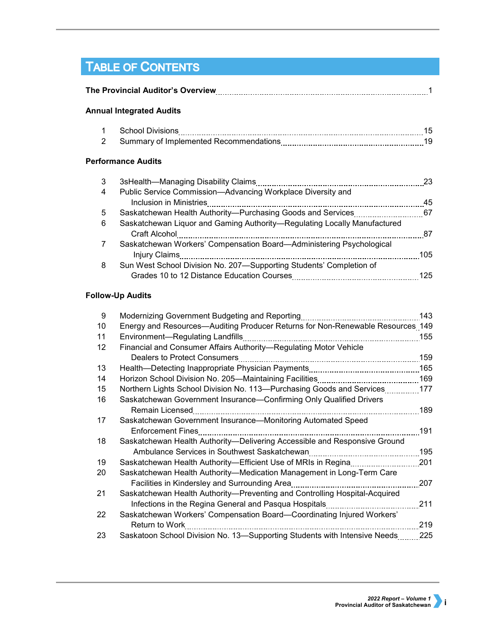# TABLE OF CONTENTS

| <b>Annual Integrated Audits</b> |                                                                                                                   |                                                                                                                                                                                                                    |  |  |
|---------------------------------|-------------------------------------------------------------------------------------------------------------------|--------------------------------------------------------------------------------------------------------------------------------------------------------------------------------------------------------------------|--|--|
| 1                               |                                                                                                                   | 15                                                                                                                                                                                                                 |  |  |
| $\overline{2}$                  |                                                                                                                   | 19                                                                                                                                                                                                                 |  |  |
|                                 |                                                                                                                   |                                                                                                                                                                                                                    |  |  |
| 3                               |                                                                                                                   | 23                                                                                                                                                                                                                 |  |  |
| 4                               | Public Service Commission—Advancing Workplace Diversity and<br>Inclusion in Ministries                            | 45                                                                                                                                                                                                                 |  |  |
| 5                               |                                                                                                                   | 67                                                                                                                                                                                                                 |  |  |
| 6                               | Saskatchewan Liquor and Gaming Authority—Regulating Locally Manufactured<br>Craft Alcohol                         | 87                                                                                                                                                                                                                 |  |  |
| 7                               | Saskatchewan Workers' Compensation Board-Administering Psychological                                              | 105                                                                                                                                                                                                                |  |  |
| 8                               | Sun West School Division No. 207-Supporting Students' Completion of<br>Grades 10 to 12 Distance Education Courses | 125                                                                                                                                                                                                                |  |  |
|                                 |                                                                                                                   | The Provincial Auditor's Overview <b>[19] Province Automn Province Province Auditor</b> School<br><b>Performance Audits</b><br>Saskatchewan Health Authority-Purchasing Goods and Services<br><b>Injury Claims</b> |  |  |

### **Follow-Up Audits**

| 9  | Modernizing Government Budgeting and Reporting                                 | 143 |
|----|--------------------------------------------------------------------------------|-----|
| 10 | Energy and Resources—Auditing Producer Returns for Non-Renewable Resources 149 |     |
| 11 | Environment-Regulating Landfills<br>----------------------------------         | 155 |
| 12 | Financial and Consumer Affairs Authority-Regulating Motor Vehicle              |     |
|    |                                                                                | 159 |
| 13 |                                                                                | 165 |
| 14 |                                                                                | 169 |
| 15 | Northern Lights School Division No. 113—Purchasing Goods and Services          | 177 |
| 16 | Saskatchewan Government Insurance—Confirming Only Qualified Drivers            |     |
|    | Remain Licensed                                                                | 189 |
| 17 | Saskatchewan Government Insurance—Monitoring Automated Speed                   |     |
|    | <b>Enforcement Fines</b>                                                       | 191 |
| 18 | Saskatchewan Health Authority-Delivering Accessible and Responsive Ground      |     |
|    |                                                                                | 195 |
| 19 | Saskatchewan Health Authority—Efficient Use of MRIs in Regina                  | 201 |
| 20 | Saskatchewan Health Authority-Medication Management in Long-Term Care          |     |
|    | Facilities in Kindersley and Surrounding Area                                  | 207 |
| 21 | Saskatchewan Health Authority-Preventing and Controlling Hospital-Acquired     |     |
|    | Infections in the Regina General and Pasqua Hospitals                          | 211 |
| 22 | Saskatchewan Workers' Compensation Board-Coordinating Injured Workers'         |     |
|    | Return to Work                                                                 | 219 |
| 23 | Saskatoon School Division No. 13-Supporting Students with Intensive Needs      | 225 |
|    |                                                                                |     |